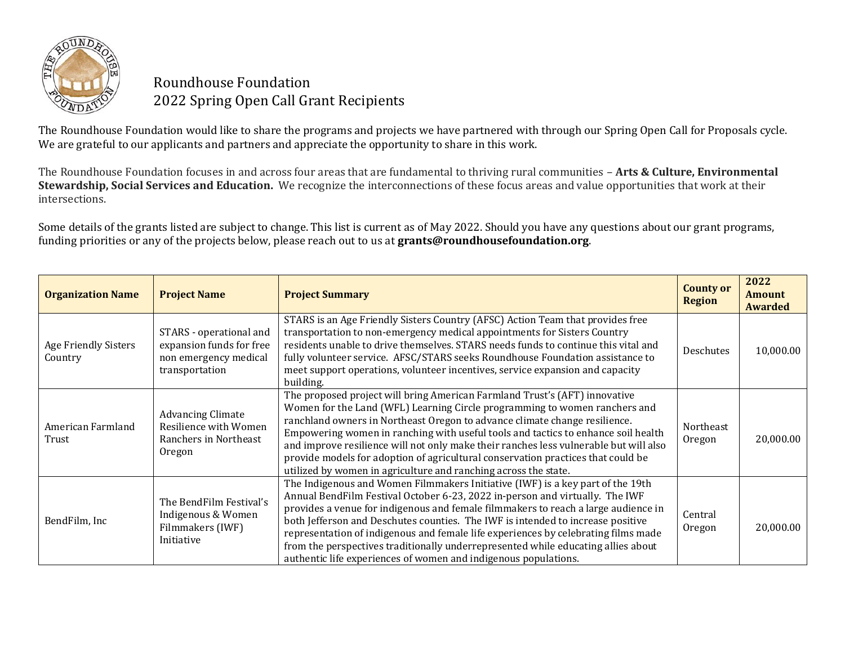

## Roundhouse Foundation 2022 Spring Open Call Grant Recipients

The Roundhouse Foundation would like to share the programs and projects we have partnered with through our Spring Open Call for Proposals cycle. We are grateful to our applicants and partners and appreciate the opportunity to share in this work.

The Roundhouse Foundation focuses in and across four areas that are fundamental to thriving rural communities – **Arts & Culture, Environmental Stewardship, Social Services and Education.** We recognize the interconnections of these focus areas and value opportunities that work at their intersections.

Some details of the grants listed are subject to change. This list is current as of May 2022. Should you have any questions about our grant programs, funding priorities or any of the projects below, please reach out to us at **grants@roundhousefoundation.org**.

| <b>Organization Name</b>        | <b>Project Name</b>                                                                            | <b>Project Summary</b>                                                                                                                                                                                                                                                                                                                                                                                                                                                                                                                                                                | <b>County or</b><br><b>Region</b> | 2022<br><b>Amount</b><br><b>Awarded</b> |
|---------------------------------|------------------------------------------------------------------------------------------------|---------------------------------------------------------------------------------------------------------------------------------------------------------------------------------------------------------------------------------------------------------------------------------------------------------------------------------------------------------------------------------------------------------------------------------------------------------------------------------------------------------------------------------------------------------------------------------------|-----------------------------------|-----------------------------------------|
| Age Friendly Sisters<br>Country | STARS - operational and<br>expansion funds for free<br>non emergency medical<br>transportation | STARS is an Age Friendly Sisters Country (AFSC) Action Team that provides free<br>transportation to non-emergency medical appointments for Sisters Country<br>residents unable to drive themselves. STARS needs funds to continue this vital and<br>fully volunteer service. AFSC/STARS seeks Roundhouse Foundation assistance to<br>meet support operations, volunteer incentives, service expansion and capacity<br>building.                                                                                                                                                       | Deschutes                         | 10,000.00                               |
| American Farmland<br>Trust      | <b>Advancing Climate</b><br>Resilience with Women<br>Ranchers in Northeast<br>Oregon           | The proposed project will bring American Farmland Trust's (AFT) innovative<br>Women for the Land (WFL) Learning Circle programming to women ranchers and<br>ranchland owners in Northeast Oregon to advance climate change resilience.<br>Empowering women in ranching with useful tools and tactics to enhance soil health<br>and improve resilience will not only make their ranches less vulnerable but will also<br>provide models for adoption of agricultural conservation practices that could be<br>utilized by women in agriculture and ranching across the state.           | Northeast<br>Oregon               | 20,000.00                               |
| BendFilm, Inc                   | The BendFilm Festival's<br>Indigenous & Women<br>Filmmakers (IWF)<br>Initiative                | The Indigenous and Women Filmmakers Initiative (IWF) is a key part of the 19th<br>Annual BendFilm Festival October 6-23, 2022 in-person and virtually. The IWF<br>provides a venue for indigenous and female filmmakers to reach a large audience in<br>both Jefferson and Deschutes counties. The IWF is intended to increase positive<br>representation of indigenous and female life experiences by celebrating films made<br>from the perspectives traditionally underrepresented while educating allies about<br>authentic life experiences of women and indigenous populations. | Central<br>Oregon                 | 20,000.00                               |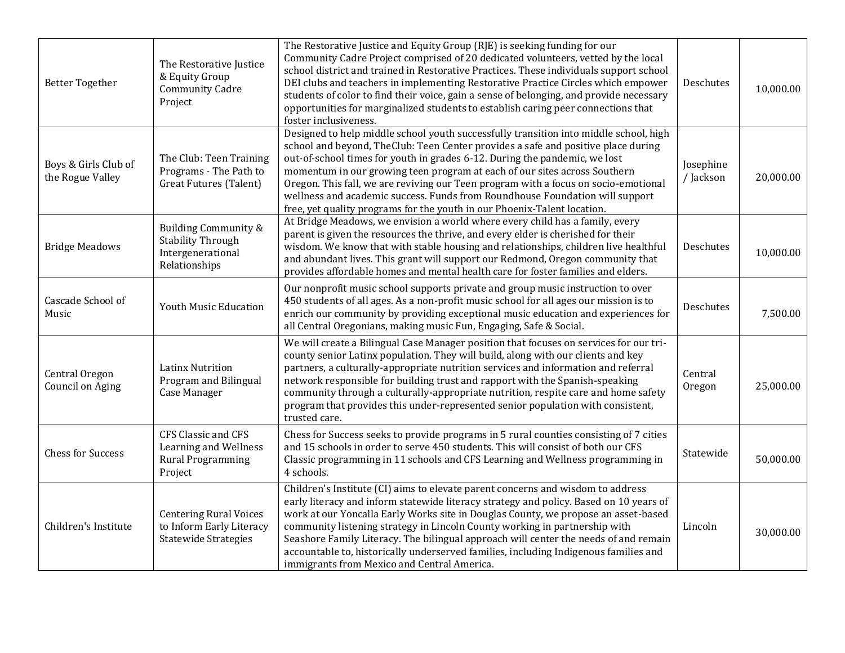| <b>Better Together</b>                   | The Restorative Justice<br>& Equity Group<br><b>Community Cadre</b><br>Project           | The Restorative Justice and Equity Group (RJE) is seeking funding for our<br>Community Cadre Project comprised of 20 dedicated volunteers, vetted by the local<br>school district and trained in Restorative Practices. These individuals support school<br>DEI clubs and teachers in implementing Restorative Practice Circles which empower<br>students of color to find their voice, gain a sense of belonging, and provide necessary<br>opportunities for marginalized students to establish caring peer connections that<br>foster inclusiveness.                                   | Deschutes              | 10,000.00 |
|------------------------------------------|------------------------------------------------------------------------------------------|------------------------------------------------------------------------------------------------------------------------------------------------------------------------------------------------------------------------------------------------------------------------------------------------------------------------------------------------------------------------------------------------------------------------------------------------------------------------------------------------------------------------------------------------------------------------------------------|------------------------|-----------|
| Boys & Girls Club of<br>the Rogue Valley | The Club: Teen Training<br>Programs - The Path to<br><b>Great Futures (Talent)</b>       | Designed to help middle school youth successfully transition into middle school, high<br>school and beyond, TheClub: Teen Center provides a safe and positive place during<br>out-of-school times for youth in grades 6-12. During the pandemic, we lost<br>momentum in our growing teen program at each of our sites across Southern<br>Oregon. This fall, we are reviving our Teen program with a focus on socio-emotional<br>wellness and academic success. Funds from Roundhouse Foundation will support<br>free, yet quality programs for the youth in our Phoenix-Talent location. | Josephine<br>/ Jackson | 20,000.00 |
| <b>Bridge Meadows</b>                    | Building Community &<br><b>Stability Through</b><br>Intergenerational<br>Relationships   | At Bridge Meadows, we envision a world where every child has a family, every<br>parent is given the resources the thrive, and every elder is cherished for their<br>wisdom. We know that with stable housing and relationships, children live healthful<br>and abundant lives. This grant will support our Redmond, Oregon community that<br>provides affordable homes and mental health care for foster families and elders.                                                                                                                                                            | Deschutes              | 10,000.00 |
| Cascade School of<br>Music               | Youth Music Education                                                                    | Our nonprofit music school supports private and group music instruction to over<br>450 students of all ages. As a non-profit music school for all ages our mission is to<br>enrich our community by providing exceptional music education and experiences for<br>all Central Oregonians, making music Fun, Engaging, Safe & Social.                                                                                                                                                                                                                                                      | Deschutes              | 7,500.00  |
| Central Oregon<br>Council on Aging       | <b>Latinx Nutrition</b><br>Program and Bilingual<br>Case Manager                         | We will create a Bilingual Case Manager position that focuses on services for our tri-<br>county senior Latinx population. They will build, along with our clients and key<br>partners, a culturally-appropriate nutrition services and information and referral<br>network responsible for building trust and rapport with the Spanish-speaking<br>community through a culturally-appropriate nutrition, respite care and home safety<br>program that provides this under-represented senior population with consistent,<br>trusted care.                                               | Central<br>Oregon      | 25,000.00 |
| <b>Chess for Success</b>                 | CFS Classic and CFS<br>Learning and Wellness<br><b>Rural Programming</b><br>Project      | Chess for Success seeks to provide programs in 5 rural counties consisting of 7 cities<br>and 15 schools in order to serve 450 students. This will consist of both our CFS<br>Classic programming in 11 schools and CFS Learning and Wellness programming in<br>4 schools.                                                                                                                                                                                                                                                                                                               | Statewide              | 50,000.00 |
| Children's Institute                     | <b>Centering Rural Voices</b><br>to Inform Early Literacy<br><b>Statewide Strategies</b> | Children's Institute (CI) aims to elevate parent concerns and wisdom to address<br>early literacy and inform statewide literacy strategy and policy. Based on 10 years of<br>work at our Yoncalla Early Works site in Douglas County, we propose an asset-based<br>community listening strategy in Lincoln County working in partnership with<br>Seashore Family Literacy. The bilingual approach will center the needs of and remain<br>accountable to, historically underserved families, including Indigenous families and<br>immigrants from Mexico and Central America.             | Lincoln                | 30,000.00 |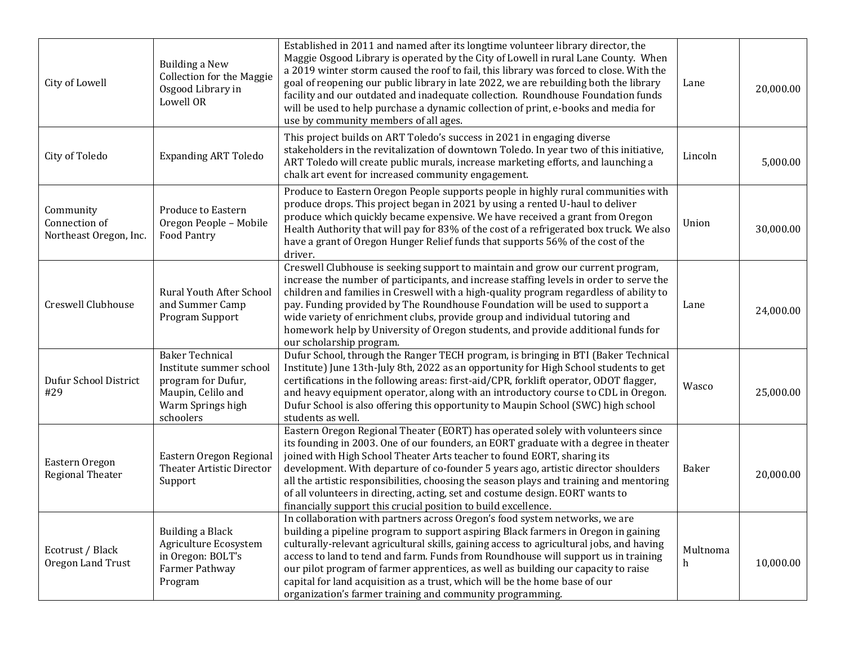| City of Lowell                                       | <b>Building a New</b><br><b>Collection for the Maggie</b><br>Osgood Library in<br>Lowell OR                                     | Established in 2011 and named after its longtime volunteer library director, the<br>Maggie Osgood Library is operated by the City of Lowell in rural Lane County. When<br>a 2019 winter storm caused the roof to fail, this library was forced to close. With the<br>goal of reopening our public library in late 2022, we are rebuilding both the library<br>facility and our outdated and inadequate collection. Roundhouse Foundation funds<br>will be used to help purchase a dynamic collection of print, e-books and media for<br>use by community members of all ages.           | Lane          | 20,000.00 |
|------------------------------------------------------|---------------------------------------------------------------------------------------------------------------------------------|-----------------------------------------------------------------------------------------------------------------------------------------------------------------------------------------------------------------------------------------------------------------------------------------------------------------------------------------------------------------------------------------------------------------------------------------------------------------------------------------------------------------------------------------------------------------------------------------|---------------|-----------|
| City of Toledo                                       | <b>Expanding ART Toledo</b>                                                                                                     | This project builds on ART Toledo's success in 2021 in engaging diverse<br>stakeholders in the revitalization of downtown Toledo. In year two of this initiative,<br>ART Toledo will create public murals, increase marketing efforts, and launching a<br>chalk art event for increased community engagement.                                                                                                                                                                                                                                                                           | Lincoln       | 5,000.00  |
| Community<br>Connection of<br>Northeast Oregon, Inc. | Produce to Eastern<br>Oregon People - Mobile<br><b>Food Pantry</b>                                                              | Produce to Eastern Oregon People supports people in highly rural communities with<br>produce drops. This project began in 2021 by using a rented U-haul to deliver<br>produce which quickly became expensive. We have received a grant from Oregon<br>Health Authority that will pay for 83% of the cost of a refrigerated box truck. We also<br>have a grant of Oregon Hunger Relief funds that supports 56% of the cost of the<br>driver.                                                                                                                                             | Union         | 30,000.00 |
| Creswell Clubhouse                                   | <b>Rural Youth After School</b><br>and Summer Camp<br>Program Support                                                           | Creswell Clubhouse is seeking support to maintain and grow our current program,<br>increase the number of participants, and increase staffing levels in order to serve the<br>children and families in Creswell with a high-quality program regardless of ability to<br>pay. Funding provided by The Roundhouse Foundation will be used to support a<br>wide variety of enrichment clubs, provide group and individual tutoring and<br>homework help by University of Oregon students, and provide additional funds for<br>our scholarship program.                                     | Lane          | 24,000.00 |
| Dufur School District<br>#29                         | <b>Baker Technical</b><br>Institute summer school<br>program for Dufur,<br>Maupin, Celilo and<br>Warm Springs high<br>schoolers | Dufur School, through the Ranger TECH program, is bringing in BTI (Baker Technical<br>Institute) June 13th-July 8th, 2022 as an opportunity for High School students to get<br>certifications in the following areas: first-aid/CPR, forklift operator, ODOT flagger,<br>and heavy equipment operator, along with an introductory course to CDL in Oregon.<br>Dufur School is also offering this opportunity to Maupin School (SWC) high school<br>students as well.                                                                                                                    | Wasco         | 25,000.00 |
| Eastern Oregon<br>Regional Theater                   | Eastern Oregon Regional<br><b>Theater Artistic Director</b><br>Support                                                          | Eastern Oregon Regional Theater (EORT) has operated solely with volunteers since<br>its founding in 2003. One of our founders, an EORT graduate with a degree in theater<br>joined with High School Theater Arts teacher to found EORT, sharing its<br>development. With departure of co-founder 5 years ago, artistic director shoulders<br>all the artistic responsibilities, choosing the season plays and training and mentoring<br>of all volunteers in directing, acting, set and costume design. EORT wants to<br>financially support this crucial position to build excellence. | Baker         | 20,000.00 |
| Ecotrust / Black<br>Oregon Land Trust                | Building a Black<br>Agriculture Ecosystem<br>in Oregon: BOLT's<br>Farmer Pathway<br>Program                                     | In collaboration with partners across Oregon's food system networks, we are<br>building a pipeline program to support aspiring Black farmers in Oregon in gaining<br>culturally-relevant agricultural skills, gaining access to agricultural jobs, and having<br>access to land to tend and farm. Funds from Roundhouse will support us in training<br>our pilot program of farmer apprentices, as well as building our capacity to raise<br>capital for land acquisition as a trust, which will be the home base of our<br>organization's farmer training and community programming.   | Multnoma<br>h | 10,000.00 |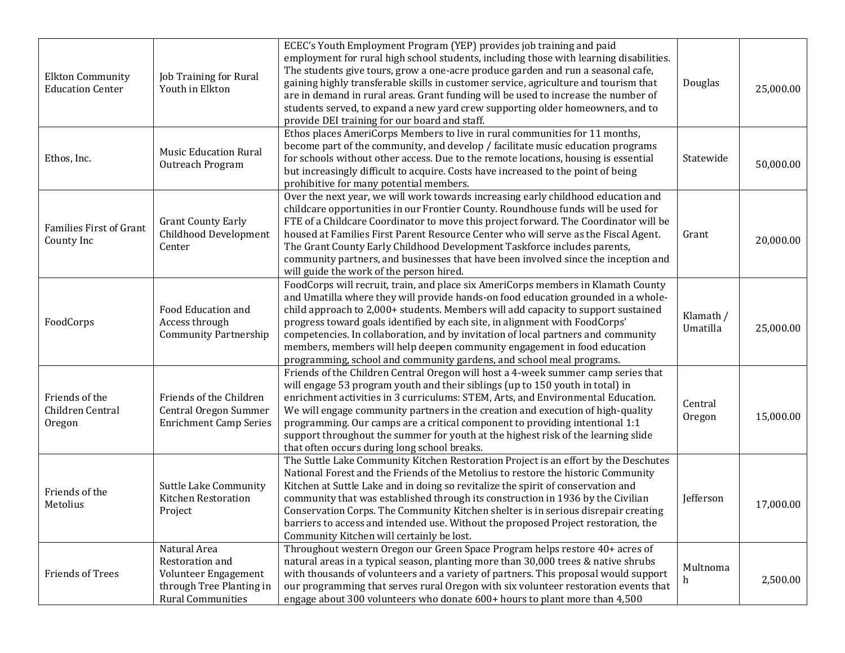| <b>Elkton Community</b><br><b>Education Center</b> | Job Training for Rural<br>Youth in Elkton                                                                       | ECEC's Youth Employment Program (YEP) provides job training and paid<br>employment for rural high school students, including those with learning disabilities.<br>The students give tours, grow a one-acre produce garden and run a seasonal cafe,<br>gaining highly transferable skills in customer service, agriculture and tourism that<br>are in demand in rural areas. Grant funding will be used to increase the number of<br>students served, to expand a new yard crew supporting older homeowners, and to<br>provide DEI training for our board and staff.                 | Douglas               | 25,000.00 |
|----------------------------------------------------|-----------------------------------------------------------------------------------------------------------------|-------------------------------------------------------------------------------------------------------------------------------------------------------------------------------------------------------------------------------------------------------------------------------------------------------------------------------------------------------------------------------------------------------------------------------------------------------------------------------------------------------------------------------------------------------------------------------------|-----------------------|-----------|
| Ethos, Inc.                                        | <b>Music Education Rural</b><br>Outreach Program                                                                | Ethos places AmeriCorps Members to live in rural communities for 11 months,<br>become part of the community, and develop / facilitate music education programs<br>for schools without other access. Due to the remote locations, housing is essential<br>but increasingly difficult to acquire. Costs have increased to the point of being<br>prohibitive for many potential members.                                                                                                                                                                                               | Statewide             | 50,000.00 |
| <b>Families First of Grant</b><br>County Inc       | <b>Grant County Early</b><br>Childhood Development<br>Center                                                    | Over the next year, we will work towards increasing early childhood education and<br>childcare opportunities in our Frontier County. Roundhouse funds will be used for<br>FTE of a Childcare Coordinator to move this project forward. The Coordinator will be<br>housed at Families First Parent Resource Center who will serve as the Fiscal Agent.<br>The Grant County Early Childhood Development Taskforce includes parents,<br>community partners, and businesses that have been involved since the inception and<br>will guide the work of the person hired.                 | Grant                 | 20,000.00 |
| FoodCorps                                          | Food Education and<br>Access through<br><b>Community Partnership</b>                                            | FoodCorps will recruit, train, and place six AmeriCorps members in Klamath County<br>and Umatilla where they will provide hands-on food education grounded in a whole-<br>child approach to 2,000+ students. Members will add capacity to support sustained<br>progress toward goals identified by each site, in alignment with FoodCorps'<br>competencies. In collaboration, and by invitation of local partners and community<br>members, members will help deepen community engagement in food education<br>programming, school and community gardens, and school meal programs. | Klamath /<br>Umatilla | 25,000.00 |
| Friends of the<br>Children Central<br>Oregon       | Friends of the Children<br><b>Central Oregon Summer</b><br><b>Enrichment Camp Series</b>                        | Friends of the Children Central Oregon will host a 4-week summer camp series that<br>will engage 53 program youth and their siblings (up to 150 youth in total) in<br>enrichment activities in 3 curriculums: STEM, Arts, and Environmental Education.<br>We will engage community partners in the creation and execution of high-quality<br>programming. Our camps are a critical component to providing intentional 1:1<br>support throughout the summer for youth at the highest risk of the learning slide<br>that often occurs during long school breaks.                      | Central<br>Oregon     | 15,000.00 |
| Friends of the<br>Metolius                         | <b>Suttle Lake Community</b><br>Kitchen Restoration<br>Project                                                  | The Suttle Lake Community Kitchen Restoration Project is an effort by the Deschutes<br>National Forest and the Friends of the Metolius to restore the historic Community<br>Kitchen at Suttle Lake and in doing so revitalize the spirit of conservation and<br>community that was established through its construction in 1936 by the Civilian<br>Conservation Corps. The Community Kitchen shelter is in serious disrepair creating<br>barriers to access and intended use. Without the proposed Project restoration, the<br>Community Kitchen will certainly be lost.            | Jefferson             | 17,000.00 |
| <b>Friends of Trees</b>                            | Natural Area<br>Restoration and<br>Volunteer Engagement<br>through Tree Planting in<br><b>Rural Communities</b> | Throughout western Oregon our Green Space Program helps restore 40+ acres of<br>natural areas in a typical season, planting more than 30,000 trees & native shrubs<br>with thousands of volunteers and a variety of partners. This proposal would support<br>our programming that serves rural Oregon with six volunteer restoration events that<br>engage about 300 volunteers who donate 600+ hours to plant more than 4,500                                                                                                                                                      | Multnoma<br>h         | 2,500.00  |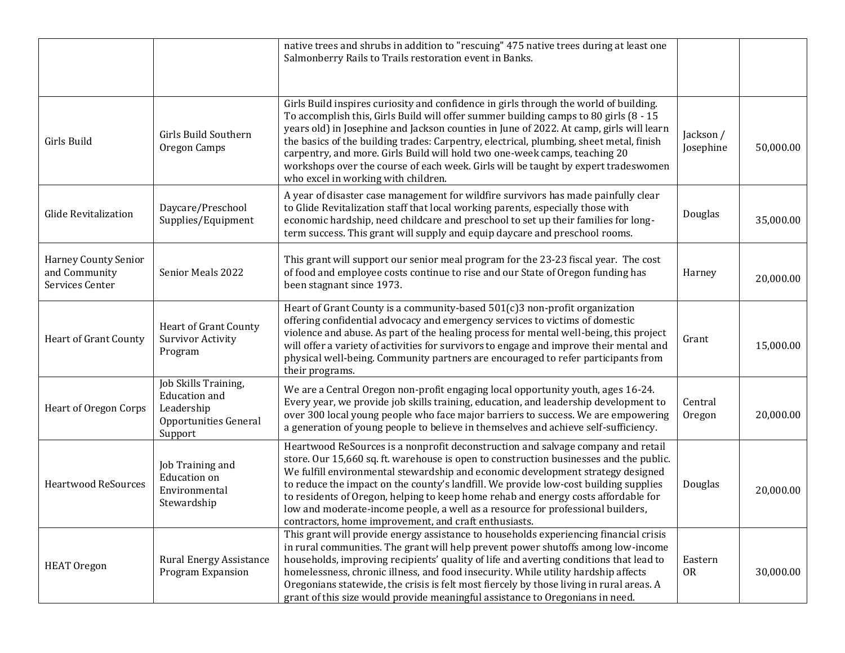|                                                                 |                                                                                                | native trees and shrubs in addition to "rescuing" 475 native trees during at least one<br>Salmonberry Rails to Trails restoration event in Banks.                                                                                                                                                                                                                                                                                                                                                                                                                                       |                        |           |
|-----------------------------------------------------------------|------------------------------------------------------------------------------------------------|-----------------------------------------------------------------------------------------------------------------------------------------------------------------------------------------------------------------------------------------------------------------------------------------------------------------------------------------------------------------------------------------------------------------------------------------------------------------------------------------------------------------------------------------------------------------------------------------|------------------------|-----------|
| Girls Build                                                     | Girls Build Southern<br>Oregon Camps                                                           | Girls Build inspires curiosity and confidence in girls through the world of building.<br>To accomplish this, Girls Build will offer summer building camps to 80 girls (8 - 15<br>years old) in Josephine and Jackson counties in June of 2022. At camp, girls will learn<br>the basics of the building trades: Carpentry, electrical, plumbing, sheet metal, finish<br>carpentry, and more. Girls Build will hold two one-week camps, teaching 20<br>workshops over the course of each week. Girls will be taught by expert tradeswomen<br>who excel in working with children.          | Jackson /<br>Josephine | 50,000.00 |
| <b>Glide Revitalization</b>                                     | Daycare/Preschool<br>Supplies/Equipment                                                        | A year of disaster case management for wildfire survivors has made painfully clear<br>to Glide Revitalization staff that local working parents, especially those with<br>economic hardship, need childcare and preschool to set up their families for long-<br>term success. This grant will supply and equip daycare and preschool rooms.                                                                                                                                                                                                                                              | Douglas                | 35,000.00 |
| <b>Harney County Senior</b><br>and Community<br>Services Center | Senior Meals 2022                                                                              | This grant will support our senior meal program for the 23-23 fiscal year. The cost<br>of food and employee costs continue to rise and our State of Oregon funding has<br>been stagnant since 1973.                                                                                                                                                                                                                                                                                                                                                                                     | Harney                 | 20,000.00 |
| <b>Heart of Grant County</b>                                    | Heart of Grant County<br><b>Survivor Activity</b><br>Program                                   | Heart of Grant County is a community-based 501(c)3 non-profit organization<br>offering confidential advocacy and emergency services to victims of domestic<br>violence and abuse. As part of the healing process for mental well-being, this project<br>will offer a variety of activities for survivors to engage and improve their mental and<br>physical well-being. Community partners are encouraged to refer participants from<br>their programs.                                                                                                                                 | Grant                  | 15,000.00 |
| Heart of Oregon Corps                                           | Job Skills Training,<br><b>Education</b> and<br>Leadership<br>Opportunities General<br>Support | We are a Central Oregon non-profit engaging local opportunity youth, ages 16-24.<br>Every year, we provide job skills training, education, and leadership development to<br>over 300 local young people who face major barriers to success. We are empowering<br>a generation of young people to believe in themselves and achieve self-sufficiency.                                                                                                                                                                                                                                    | Central<br>Oregon      | 20,000.00 |
| <b>Heartwood ReSources</b>                                      | Job Training and<br><b>Education</b> on<br>Environmental<br>Stewardship                        | Heartwood ReSources is a nonprofit deconstruction and salvage company and retail<br>store. Our 15,660 sq. ft. warehouse is open to construction businesses and the public.<br>We fulfill environmental stewardship and economic development strategy designed<br>to reduce the impact on the county's landfill. We provide low-cost building supplies<br>to residents of Oregon, helping to keep home rehab and energy costs affordable for<br>low and moderate-income people, a well as a resource for professional builders,<br>contractors, home improvement, and craft enthusiasts. | Douglas                | 20,000.00 |
| <b>HEAT Oregon</b>                                              | <b>Rural Energy Assistance</b><br>Program Expansion                                            | This grant will provide energy assistance to households experiencing financial crisis<br>in rural communities. The grant will help prevent power shutoffs among low-income<br>households, improving recipients' quality of life and averting conditions that lead to<br>homelessness, chronic illness, and food insecurity. While utility hardship affects<br>Oregonians statewide, the crisis is felt most fiercely by those living in rural areas. A<br>grant of this size would provide meaningful assistance to Oregonians in need.                                                 | Eastern<br><b>OR</b>   | 30,000.00 |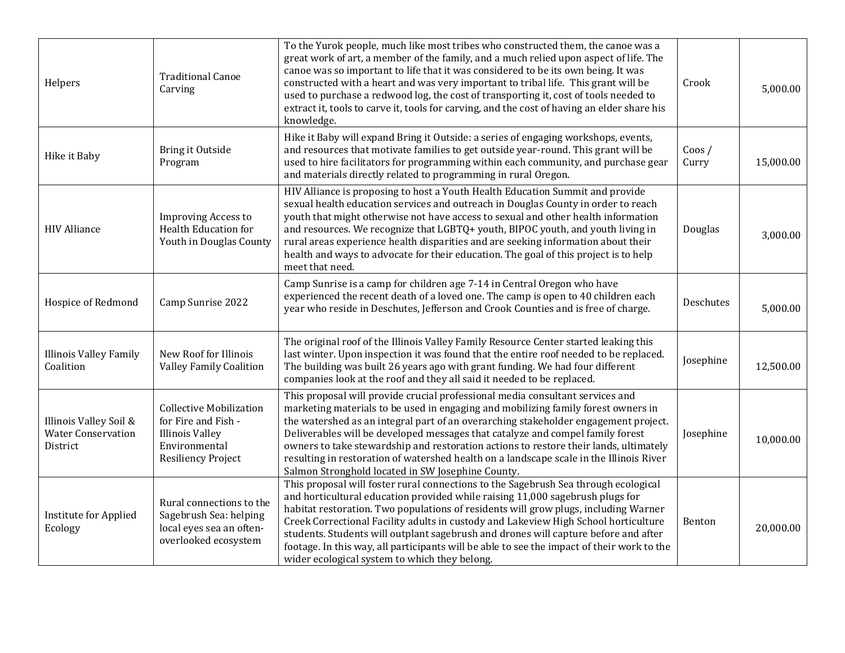| Helpers                                                         | <b>Traditional Canoe</b><br>Carving                                                                                           | To the Yurok people, much like most tribes who constructed them, the canoe was a<br>great work of art, a member of the family, and a much relied upon aspect of life. The<br>canoe was so important to life that it was considered to be its own being. It was<br>constructed with a heart and was very important to tribal life. This grant will be<br>used to purchase a redwood log, the cost of transporting it, cost of tools needed to<br>extract it, tools to carve it, tools for carving, and the cost of having an elder share his<br>knowledge.                                | Crook              | 5,000.00  |
|-----------------------------------------------------------------|-------------------------------------------------------------------------------------------------------------------------------|------------------------------------------------------------------------------------------------------------------------------------------------------------------------------------------------------------------------------------------------------------------------------------------------------------------------------------------------------------------------------------------------------------------------------------------------------------------------------------------------------------------------------------------------------------------------------------------|--------------------|-----------|
| Hike it Baby                                                    | Bring it Outside<br>Program                                                                                                   | Hike it Baby will expand Bring it Outside: a series of engaging workshops, events,<br>and resources that motivate families to get outside year-round. This grant will be<br>used to hire facilitators for programming within each community, and purchase gear<br>and materials directly related to programming in rural Oregon.                                                                                                                                                                                                                                                         | $C$ oos /<br>Curry | 15,000.00 |
| <b>HIV Alliance</b>                                             | <b>Improving Access to</b><br><b>Health Education for</b><br>Youth in Douglas County                                          | HIV Alliance is proposing to host a Youth Health Education Summit and provide<br>sexual health education services and outreach in Douglas County in order to reach<br>youth that might otherwise not have access to sexual and other health information<br>and resources. We recognize that LGBTQ+ youth, BIPOC youth, and youth living in<br>rural areas experience health disparities and are seeking information about their<br>health and ways to advocate for their education. The goal of this project is to help<br>meet that need.                                               | Douglas            | 3,000.00  |
| Hospice of Redmond                                              | Camp Sunrise 2022                                                                                                             | Camp Sunrise is a camp for children age 7-14 in Central Oregon who have<br>experienced the recent death of a loved one. The camp is open to 40 children each<br>year who reside in Deschutes, Jefferson and Crook Counties and is free of charge.                                                                                                                                                                                                                                                                                                                                        | Deschutes          | 5,000.00  |
| <b>Illinois Valley Family</b><br>Coalition                      | New Roof for Illinois<br><b>Valley Family Coalition</b>                                                                       | The original roof of the Illinois Valley Family Resource Center started leaking this<br>last winter. Upon inspection it was found that the entire roof needed to be replaced.<br>The building was built 26 years ago with grant funding. We had four different<br>companies look at the roof and they all said it needed to be replaced.                                                                                                                                                                                                                                                 | Josephine          | 12,500.00 |
| Illinois Valley Soil &<br><b>Water Conservation</b><br>District | <b>Collective Mobilization</b><br>for Fire and Fish -<br><b>Illinois Valley</b><br>Environmental<br><b>Resiliency Project</b> | This proposal will provide crucial professional media consultant services and<br>marketing materials to be used in engaging and mobilizing family forest owners in<br>the watershed as an integral part of an overarching stakeholder engagement project.<br>Deliverables will be developed messages that catalyze and compel family forest<br>owners to take stewardship and restoration actions to restore their lands, ultimately<br>resulting in restoration of watershed health on a landscape scale in the Illinois River<br>Salmon Stronghold located in SW Josephine County.     | Josephine          | 10,000.00 |
| <b>Institute for Applied</b><br>Ecology                         | Rural connections to the<br>Sagebrush Sea: helping<br>local eyes sea an often-<br>overlooked ecosystem                        | This proposal will foster rural connections to the Sagebrush Sea through ecological<br>and horticultural education provided while raising 11,000 sagebrush plugs for<br>habitat restoration. Two populations of residents will grow plugs, including Warner<br>Creek Correctional Facility adults in custody and Lakeview High School horticulture<br>students. Students will outplant sagebrush and drones will capture before and after<br>footage. In this way, all participants will be able to see the impact of their work to the<br>wider ecological system to which they belong. | Benton             | 20,000.00 |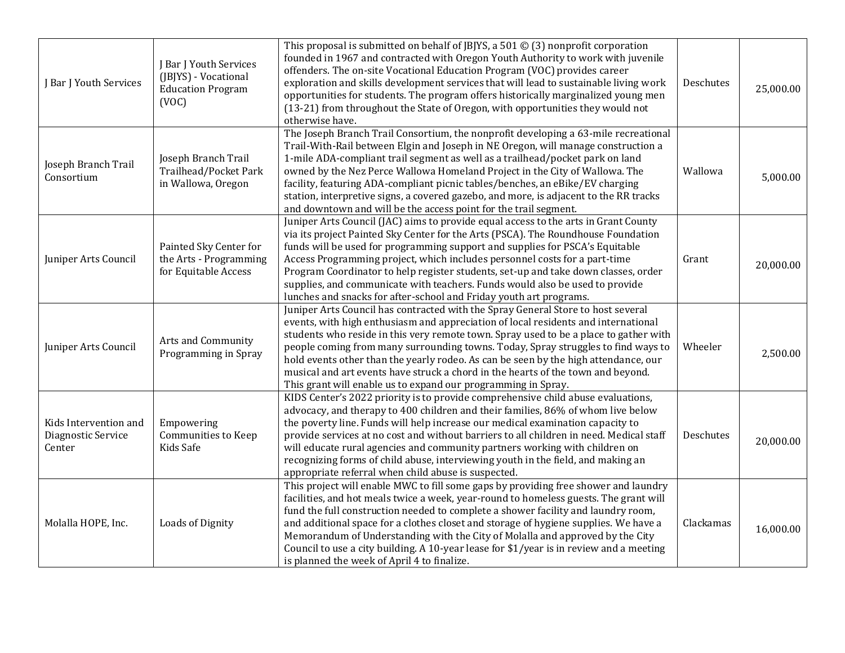| J Bar J Youth Services                                | J Bar J Youth Services<br>(JBJYS) - Vocational<br><b>Education Program</b><br>(VOC) | This proposal is submitted on behalf of JBJYS, a 501 $\odot$ (3) nonprofit corporation<br>founded in 1967 and contracted with Oregon Youth Authority to work with juvenile<br>offenders. The on-site Vocational Education Program (VOC) provides career<br>exploration and skills development services that will lead to sustainable living work<br>opportunities for students. The program offers historically marginalized young men<br>(13-21) from throughout the State of Oregon, with opportunities they would not<br>otherwise have.                                                      | Deschutes | 25,000.00 |
|-------------------------------------------------------|-------------------------------------------------------------------------------------|--------------------------------------------------------------------------------------------------------------------------------------------------------------------------------------------------------------------------------------------------------------------------------------------------------------------------------------------------------------------------------------------------------------------------------------------------------------------------------------------------------------------------------------------------------------------------------------------------|-----------|-----------|
| Joseph Branch Trail<br>Consortium                     | Joseph Branch Trail<br>Trailhead/Pocket Park<br>in Wallowa, Oregon                  | The Joseph Branch Trail Consortium, the nonprofit developing a 63-mile recreational<br>Trail-With-Rail between Elgin and Joseph in NE Oregon, will manage construction a<br>1-mile ADA-compliant trail segment as well as a trailhead/pocket park on land<br>owned by the Nez Perce Wallowa Homeland Project in the City of Wallowa. The<br>facility, featuring ADA-compliant picnic tables/benches, an eBike/EV charging<br>station, interpretive signs, a covered gazebo, and more, is adjacent to the RR tracks<br>and downtown and will be the access point for the trail segment.           | Wallowa   | 5,000.00  |
| Juniper Arts Council                                  | Painted Sky Center for<br>the Arts - Programming<br>for Equitable Access            | Juniper Arts Council (JAC) aims to provide equal access to the arts in Grant County<br>via its project Painted Sky Center for the Arts (PSCA). The Roundhouse Foundation<br>funds will be used for programming support and supplies for PSCA's Equitable<br>Access Programming project, which includes personnel costs for a part-time<br>Program Coordinator to help register students, set-up and take down classes, order<br>supplies, and communicate with teachers. Funds would also be used to provide<br>lunches and snacks for after-school and Friday youth art programs.               | Grant     | 20,000.00 |
| Juniper Arts Council                                  | Arts and Community<br>Programming in Spray                                          | Juniper Arts Council has contracted with the Spray General Store to host several<br>events, with high enthusiasm and appreciation of local residents and international<br>students who reside in this very remote town. Spray used to be a place to gather with<br>people coming from many surrounding towns. Today, Spray struggles to find ways to<br>hold events other than the yearly rodeo. As can be seen by the high attendance, our<br>musical and art events have struck a chord in the hearts of the town and beyond.<br>This grant will enable us to expand our programming in Spray. | Wheeler   | 2,500.00  |
| Kids Intervention and<br>Diagnostic Service<br>Center | Empowering<br>Communities to Keep<br>Kids Safe                                      | KIDS Center's 2022 priority is to provide comprehensive child abuse evaluations,<br>advocacy, and therapy to 400 children and their families, 86% of whom live below<br>the poverty line. Funds will help increase our medical examination capacity to<br>provide services at no cost and without barriers to all children in need. Medical staff<br>will educate rural agencies and community partners working with children on<br>recognizing forms of child abuse, interviewing youth in the field, and making an<br>appropriate referral when child abuse is suspected.                      | Deschutes | 20,000.00 |
| Molalla HOPE, Inc.                                    | Loads of Dignity                                                                    | This project will enable MWC to fill some gaps by providing free shower and laundry<br>facilities, and hot meals twice a week, year-round to homeless guests. The grant will<br>fund the full construction needed to complete a shower facility and laundry room,<br>and additional space for a clothes closet and storage of hygiene supplies. We have a<br>Memorandum of Understanding with the City of Molalla and approved by the City<br>Council to use a city building. A 10-year lease for \$1/year is in review and a meeting<br>is planned the week of April 4 to finalize.             | Clackamas | 16,000.00 |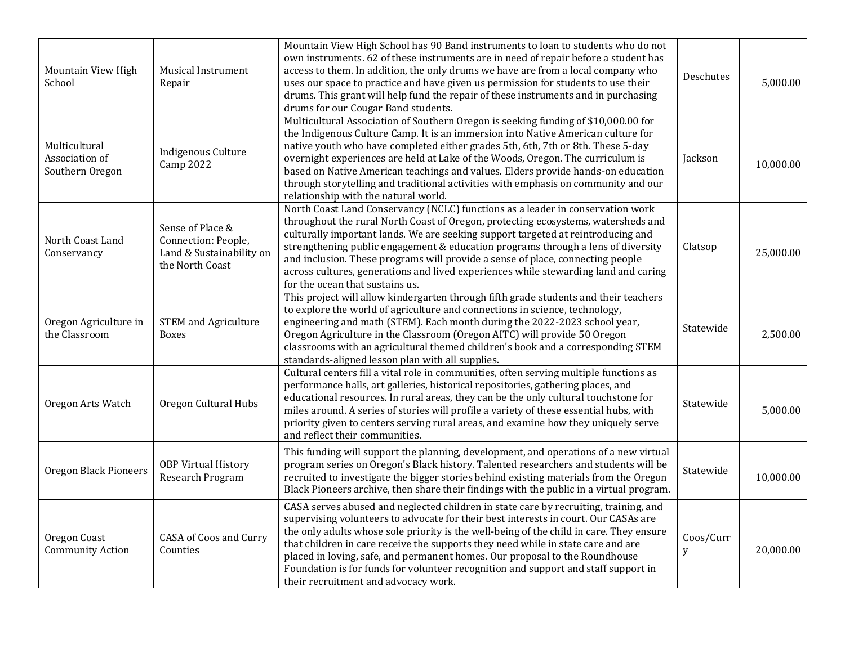| Mountain View High<br>School                       | <b>Musical Instrument</b><br>Repair                                                    | Mountain View High School has 90 Band instruments to loan to students who do not<br>own instruments. 62 of these instruments are in need of repair before a student has<br>access to them. In addition, the only drums we have are from a local company who<br>uses our space to practice and have given us permission for students to use their<br>drums. This grant will help fund the repair of these instruments and in purchasing<br>drums for our Cougar Band students.                                                                                           | Deschutes      | 5,000.00  |
|----------------------------------------------------|----------------------------------------------------------------------------------------|-------------------------------------------------------------------------------------------------------------------------------------------------------------------------------------------------------------------------------------------------------------------------------------------------------------------------------------------------------------------------------------------------------------------------------------------------------------------------------------------------------------------------------------------------------------------------|----------------|-----------|
| Multicultural<br>Association of<br>Southern Oregon | Indigenous Culture<br><b>Camp 2022</b>                                                 | Multicultural Association of Southern Oregon is seeking funding of \$10,000.00 for<br>the Indigenous Culture Camp. It is an immersion into Native American culture for<br>native youth who have completed either grades 5th, 6th, 7th or 8th. These 5-day<br>overnight experiences are held at Lake of the Woods, Oregon. The curriculum is<br>based on Native American teachings and values. Elders provide hands-on education<br>through storytelling and traditional activities with emphasis on community and our<br>relationship with the natural world.           | Jackson        | 10,000.00 |
| North Coast Land<br>Conservancy                    | Sense of Place &<br>Connection: People,<br>Land & Sustainability on<br>the North Coast | North Coast Land Conservancy (NCLC) functions as a leader in conservation work<br>throughout the rural North Coast of Oregon, protecting ecosystems, watersheds and<br>culturally important lands. We are seeking support targeted at reintroducing and<br>strengthening public engagement & education programs through a lens of diversity<br>and inclusion. These programs will provide a sense of place, connecting people<br>across cultures, generations and lived experiences while stewarding land and caring<br>for the ocean that sustains us.                 | Clatsop        | 25,000.00 |
| Oregon Agriculture in<br>the Classroom             | <b>STEM</b> and Agriculture<br><b>Boxes</b>                                            | This project will allow kindergarten through fifth grade students and their teachers<br>to explore the world of agriculture and connections in science, technology,<br>engineering and math (STEM). Each month during the 2022-2023 school year,<br>Oregon Agriculture in the Classroom (Oregon AITC) will provide 50 Oregon<br>classrooms with an agricultural themed children's book and a corresponding STEM<br>standards-aligned lesson plan with all supplies.                                                                                                     | Statewide      | 2,500.00  |
| Oregon Arts Watch                                  | Oregon Cultural Hubs                                                                   | Cultural centers fill a vital role in communities, often serving multiple functions as<br>performance halls, art galleries, historical repositories, gathering places, and<br>educational resources. In rural areas, they can be the only cultural touchstone for<br>miles around. A series of stories will profile a variety of these essential hubs, with<br>priority given to centers serving rural areas, and examine how they uniquely serve<br>and reflect their communities.                                                                                     | Statewide      | 5,000.00  |
| <b>Oregon Black Pioneers</b>                       | <b>OBP Virtual History</b><br>Research Program                                         | This funding will support the planning, development, and operations of a new virtual<br>program series on Oregon's Black history. Talented researchers and students will be<br>recruited to investigate the bigger stories behind existing materials from the Oregon<br>Black Pioneers archive, then share their findings with the public in a virtual program.                                                                                                                                                                                                         | Statewide      | 10,000.00 |
| Oregon Coast<br><b>Community Action</b>            | CASA of Coos and Curry<br>Counties                                                     | CASA serves abused and neglected children in state care by recruiting, training, and<br>supervising volunteers to advocate for their best interests in court. Our CASAs are<br>the only adults whose sole priority is the well-being of the child in care. They ensure<br>that children in care receive the supports they need while in state care and are<br>placed in loving, safe, and permanent homes. Our proposal to the Roundhouse<br>Foundation is for funds for volunteer recognition and support and staff support in<br>their recruitment and advocacy work. | Coos/Curr<br>y | 20,000.00 |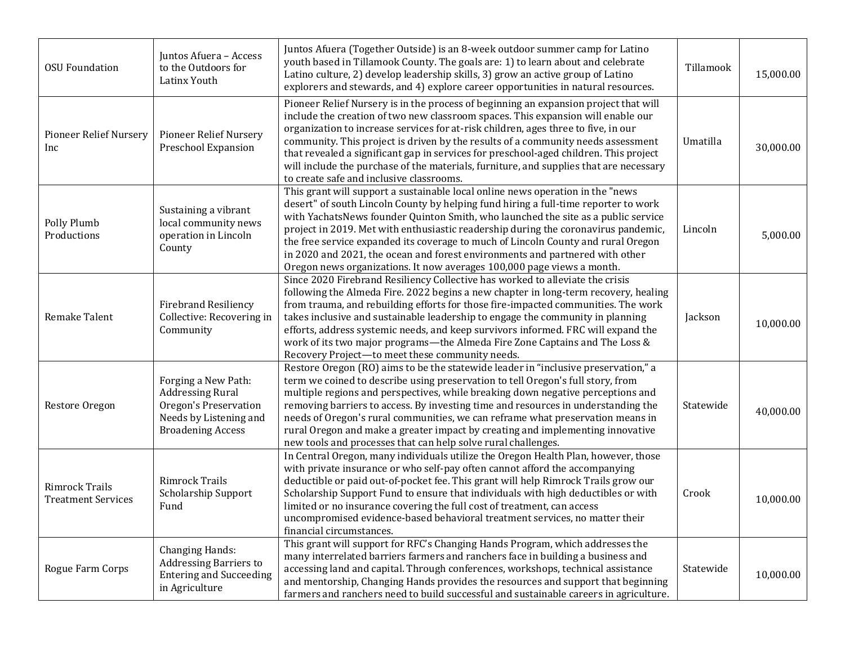| <b>OSU Foundation</b>                       | Juntos Afuera - Access<br>to the Outdoors for<br>Latinx Youth                                                                 | Juntos Afuera (Together Outside) is an 8-week outdoor summer camp for Latino<br>youth based in Tillamook County. The goals are: 1) to learn about and celebrate<br>Latino culture, 2) develop leadership skills, 3) grow an active group of Latino<br>explorers and stewards, and 4) explore career opportunities in natural resources.                                                                                                                                                                                                                                                         | Tillamook | 15,000.00 |
|---------------------------------------------|-------------------------------------------------------------------------------------------------------------------------------|-------------------------------------------------------------------------------------------------------------------------------------------------------------------------------------------------------------------------------------------------------------------------------------------------------------------------------------------------------------------------------------------------------------------------------------------------------------------------------------------------------------------------------------------------------------------------------------------------|-----------|-----------|
| <b>Pioneer Relief Nursery</b><br>Inc        | <b>Pioneer Relief Nursery</b><br>Preschool Expansion                                                                          | Pioneer Relief Nursery is in the process of beginning an expansion project that will<br>include the creation of two new classroom spaces. This expansion will enable our<br>organization to increase services for at-risk children, ages three to five, in our<br>community. This project is driven by the results of a community needs assessment<br>that revealed a significant gap in services for preschool-aged children. This project<br>will include the purchase of the materials, furniture, and supplies that are necessary<br>to create safe and inclusive classrooms.               | Umatilla  | 30,000.00 |
| Polly Plumb<br>Productions                  | Sustaining a vibrant<br>local community news<br>operation in Lincoln<br>County                                                | This grant will support a sustainable local online news operation in the "news<br>desert" of south Lincoln County by helping fund hiring a full-time reporter to work<br>with YachatsNews founder Quinton Smith, who launched the site as a public service<br>project in 2019. Met with enthusiastic readership during the coronavirus pandemic,<br>the free service expanded its coverage to much of Lincoln County and rural Oregon<br>in 2020 and 2021, the ocean and forest environments and partnered with other<br>Oregon news organizations. It now averages 100,000 page views a month. | Lincoln   | 5,000.00  |
| Remake Talent                               | <b>Firebrand Resiliency</b><br>Collective: Recovering in<br>Community                                                         | Since 2020 Firebrand Resiliency Collective has worked to alleviate the crisis<br>following the Almeda Fire. 2022 begins a new chapter in long-term recovery, healing<br>from trauma, and rebuilding efforts for those fire-impacted communities. The work<br>takes inclusive and sustainable leadership to engage the community in planning<br>efforts, address systemic needs, and keep survivors informed. FRC will expand the<br>work of its two major programs-the Almeda Fire Zone Captains and The Loss &<br>Recovery Project-to meet these community needs.                              | Jackson   | 10,000.00 |
| Restore Oregon                              | Forging a New Path:<br><b>Addressing Rural</b><br>Oregon's Preservation<br>Needs by Listening and<br><b>Broadening Access</b> | Restore Oregon (RO) aims to be the statewide leader in "inclusive preservation," a<br>term we coined to describe using preservation to tell Oregon's full story, from<br>multiple regions and perspectives, while breaking down negative perceptions and<br>removing barriers to access. By investing time and resources in understanding the<br>needs of Oregon's rural communities, we can reframe what preservation means in<br>rural Oregon and make a greater impact by creating and implementing innovative<br>new tools and processes that can help solve rural challenges.              | Statewide | 40,000.00 |
| Rimrock Trails<br><b>Treatment Services</b> | Rimrock Trails<br>Scholarship Support<br>Fund                                                                                 | In Central Oregon, many individuals utilize the Oregon Health Plan, however, those<br>with private insurance or who self-pay often cannot afford the accompanying<br>deductible or paid out-of-pocket fee. This grant will help Rimrock Trails grow our<br>Scholarship Support Fund to ensure that individuals with high deductibles or with<br>limited or no insurance covering the full cost of treatment, can access<br>uncompromised evidence-based behavioral treatment services, no matter their<br>financial circumstances.                                                              | Crook     | 10,000.00 |
| Rogue Farm Corps                            | <b>Changing Hands:</b><br><b>Addressing Barriers to</b><br><b>Entering and Succeeding</b><br>in Agriculture                   | This grant will support for RFC's Changing Hands Program, which addresses the<br>many interrelated barriers farmers and ranchers face in building a business and<br>accessing land and capital. Through conferences, workshops, technical assistance<br>and mentorship, Changing Hands provides the resources and support that beginning<br>farmers and ranchers need to build successful and sustainable careers in agriculture.                                                                                                                                                               | Statewide | 10,000.00 |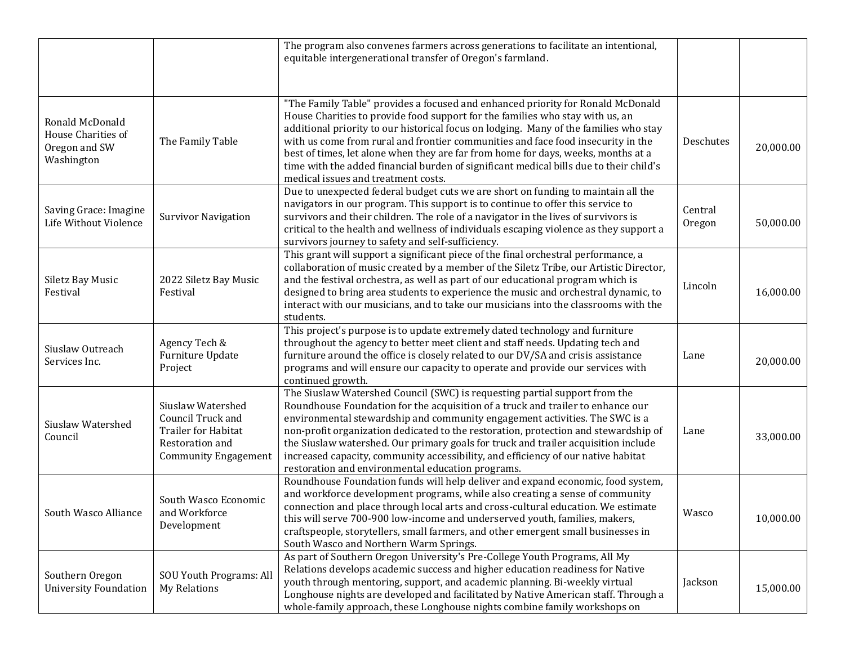|                                                                      |                                                                                                                        | The program also convenes farmers across generations to facilitate an intentional,<br>equitable intergenerational transfer of Oregon's farmland.                                                                                                                                                                                                                                                                                                                                                                                                                    |                   |           |
|----------------------------------------------------------------------|------------------------------------------------------------------------------------------------------------------------|---------------------------------------------------------------------------------------------------------------------------------------------------------------------------------------------------------------------------------------------------------------------------------------------------------------------------------------------------------------------------------------------------------------------------------------------------------------------------------------------------------------------------------------------------------------------|-------------------|-----------|
| Ronald McDonald<br>House Charities of<br>Oregon and SW<br>Washington | The Family Table                                                                                                       | "The Family Table" provides a focused and enhanced priority for Ronald McDonald<br>House Charities to provide food support for the families who stay with us, an<br>additional priority to our historical focus on lodging. Many of the families who stay<br>with us come from rural and frontier communities and face food insecurity in the<br>best of times, let alone when they are far from home for days, weeks, months at a<br>time with the added financial burden of significant medical bills due to their child's<br>medical issues and treatment costs. | Deschutes         | 20,000.00 |
| Saving Grace: Imagine<br>Life Without Violence                       | <b>Survivor Navigation</b>                                                                                             | Due to unexpected federal budget cuts we are short on funding to maintain all the<br>navigators in our program. This support is to continue to offer this service to<br>survivors and their children. The role of a navigator in the lives of survivors is<br>critical to the health and wellness of individuals escaping violence as they support a<br>survivors journey to safety and self-sufficiency.                                                                                                                                                           | Central<br>Oregon | 50,000.00 |
| Siletz Bay Music<br>Festival                                         | 2022 Siletz Bay Music<br>Festival                                                                                      | This grant will support a significant piece of the final orchestral performance, a<br>collaboration of music created by a member of the Siletz Tribe, our Artistic Director,<br>and the festival orchestra, as well as part of our educational program which is<br>designed to bring area students to experience the music and orchestral dynamic, to<br>interact with our musicians, and to take our musicians into the classrooms with the<br>students.                                                                                                           | Lincoln           | 16,000.00 |
| Siuslaw Outreach<br>Services Inc.                                    | Agency Tech &<br>Furniture Update<br>Project                                                                           | This project's purpose is to update extremely dated technology and furniture<br>throughout the agency to better meet client and staff needs. Updating tech and<br>furniture around the office is closely related to our DV/SA and crisis assistance<br>programs and will ensure our capacity to operate and provide our services with<br>continued growth.                                                                                                                                                                                                          | Lane              | 20,000.00 |
| Siuslaw Watershed<br>Council                                         | Siuslaw Watershed<br>Council Truck and<br><b>Trailer for Habitat</b><br>Restoration and<br><b>Community Engagement</b> | The Siuslaw Watershed Council (SWC) is requesting partial support from the<br>Roundhouse Foundation for the acquisition of a truck and trailer to enhance our<br>environmental stewardship and community engagement activities. The SWC is a<br>non-profit organization dedicated to the restoration, protection and stewardship of<br>the Siuslaw watershed. Our primary goals for truck and trailer acquisition include<br>increased capacity, community accessibility, and efficiency of our native habitat<br>restoration and environmental education programs. | Lane              | 33,000.00 |
| South Wasco Alliance                                                 | South Wasco Economic<br>and Workforce<br>Development                                                                   | Roundhouse Foundation funds will help deliver and expand economic, food system,<br>and workforce development programs, while also creating a sense of community<br>connection and place through local arts and cross-cultural education. We estimate<br>this will serve 700-900 low-income and underserved youth, families, makers,<br>craftspeople, storytellers, small farmers, and other emergent small businesses in<br>South Wasco and Northern Warm Springs.                                                                                                  | Wasco             | 10,000.00 |
| Southern Oregon<br><b>University Foundation</b>                      | <b>SOU Youth Programs: All</b><br>My Relations                                                                         | As part of Southern Oregon University's Pre-College Youth Programs, All My<br>Relations develops academic success and higher education readiness for Native<br>youth through mentoring, support, and academic planning. Bi-weekly virtual<br>Longhouse nights are developed and facilitated by Native American staff. Through a<br>whole-family approach, these Longhouse nights combine family workshops on                                                                                                                                                        | Jackson           | 15,000.00 |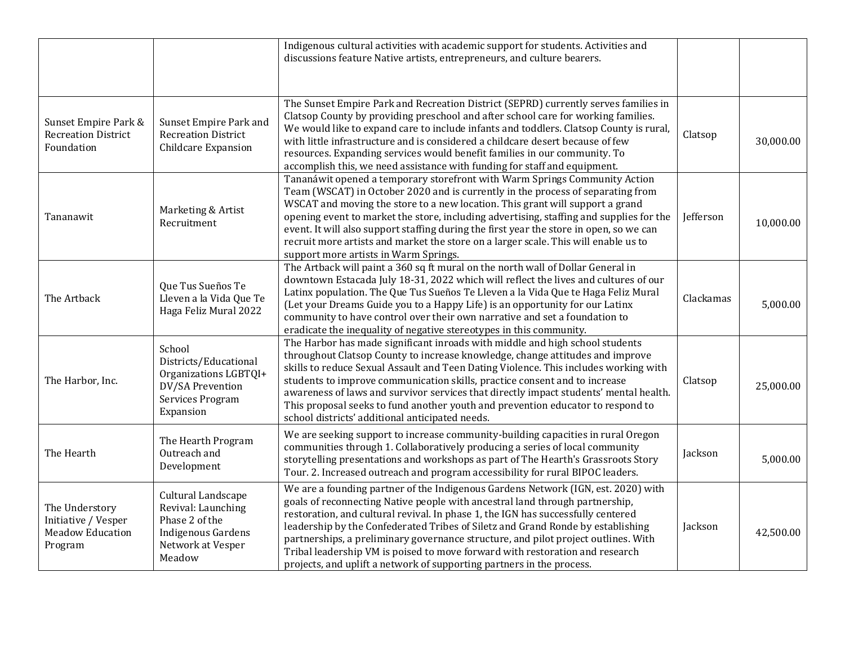|                                                                             |                                                                                                                        | Indigenous cultural activities with academic support for students. Activities and<br>discussions feature Native artists, entrepreneurs, and culture bearers.                                                                                                                                                                                                                                                                                                                                                                                                                            |           |           |
|-----------------------------------------------------------------------------|------------------------------------------------------------------------------------------------------------------------|-----------------------------------------------------------------------------------------------------------------------------------------------------------------------------------------------------------------------------------------------------------------------------------------------------------------------------------------------------------------------------------------------------------------------------------------------------------------------------------------------------------------------------------------------------------------------------------------|-----------|-----------|
| Sunset Empire Park &<br><b>Recreation District</b><br>Foundation            | Sunset Empire Park and<br><b>Recreation District</b><br><b>Childcare Expansion</b>                                     | The Sunset Empire Park and Recreation District (SEPRD) currently serves families in<br>Clatsop County by providing preschool and after school care for working families.<br>We would like to expand care to include infants and toddlers. Clatsop County is rural,<br>with little infrastructure and is considered a childcare desert because of few<br>resources. Expanding services would benefit families in our community. To<br>accomplish this, we need assistance with funding for staff and equipment.                                                                          | Clatsop   | 30,000.00 |
| Tananawit                                                                   | Marketing & Artist<br>Recruitment                                                                                      | Tananáwit opened a temporary storefront with Warm Springs Community Action<br>Team (WSCAT) in October 2020 and is currently in the process of separating from<br>WSCAT and moving the store to a new location. This grant will support a grand<br>opening event to market the store, including advertising, staffing and supplies for the<br>event. It will also support staffing during the first year the store in open, so we can<br>recruit more artists and market the store on a larger scale. This will enable us to<br>support more artists in Warm Springs.                    | Jefferson | 10,000.00 |
| The Artback                                                                 | Que Tus Sueños Te<br>Lleven a la Vida Que Te<br>Haga Feliz Mural 2022                                                  | The Artback will paint a 360 sq ft mural on the north wall of Dollar General in<br>downtown Estacada July 18-31, 2022 which will reflect the lives and cultures of our<br>Latinx population. The Que Tus Sueños Te Lleven a la Vida Que te Haga Feliz Mural<br>(Let your Dreams Guide you to a Happy Life) is an opportunity for our Latinx<br>community to have control over their own narrative and set a foundation to<br>eradicate the inequality of negative stereotypes in this community.                                                                                        | Clackamas | 5,000.00  |
| The Harbor, Inc.                                                            | School<br>Districts/Educational<br>Organizations LGBTQI+<br>DV/SA Prevention<br>Services Program<br>Expansion          | The Harbor has made significant inroads with middle and high school students<br>throughout Clatsop County to increase knowledge, change attitudes and improve<br>skills to reduce Sexual Assault and Teen Dating Violence. This includes working with<br>students to improve communication skills, practice consent and to increase<br>awareness of laws and survivor services that directly impact students' mental health.<br>This proposal seeks to fund another youth and prevention educator to respond to<br>school districts' additional anticipated needs.                      | Clatsop   | 25,000.00 |
| The Hearth                                                                  | The Hearth Program<br>Outreach and<br>Development                                                                      | We are seeking support to increase community-building capacities in rural Oregon<br>communities through 1. Collaboratively producing a series of local community<br>storytelling presentations and workshops as part of The Hearth's Grassroots Story<br>Tour. 2. Increased outreach and program accessibility for rural BIPOC leaders.                                                                                                                                                                                                                                                 | Jackson   | 5,000.00  |
| The Understory<br>Initiative / Vesper<br><b>Meadow Education</b><br>Program | Cultural Landscape<br>Revival: Launching<br>Phase 2 of the<br><b>Indigenous Gardens</b><br>Network at Vesper<br>Meadow | We are a founding partner of the Indigenous Gardens Network (IGN, est. 2020) with<br>goals of reconnecting Native people with ancestral land through partnership,<br>restoration, and cultural revival. In phase 1, the IGN has successfully centered<br>leadership by the Confederated Tribes of Siletz and Grand Ronde by establishing<br>partnerships, a preliminary governance structure, and pilot project outlines. With<br>Tribal leadership VM is poised to move forward with restoration and research<br>projects, and uplift a network of supporting partners in the process. | Jackson   | 42,500.00 |